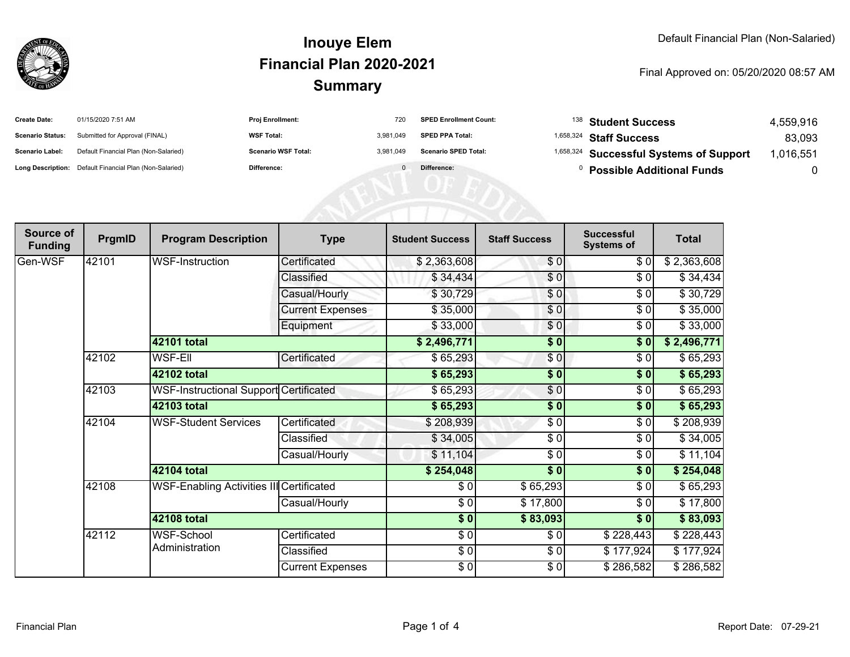

#### **SummaryInouye ElemFinancial Plan 2020-2021**

#### Final Approved on: 05/20/2020 08:57 AM

| <b>Create Date:</b>     | 01/15/2020 7:51 AM                                      | <b>Proj Enrollment:</b>    | 720       | <b>SPED Enrollment Count:</b> | $^{138}$ Student Success                           | 4.559.916 |
|-------------------------|---------------------------------------------------------|----------------------------|-----------|-------------------------------|----------------------------------------------------|-----------|
| <b>Scenario Status:</b> | Submitted for Approval (FINAL)                          | <b>WSF Total:</b>          | 3.981.049 | <b>SPED PPA Total:</b>        | <sup>1,658,324</sup> Staff Success                 | 83,093    |
| <b>Scenario Label:</b>  | Default Financial Plan (Non-Salaried)                   | <b>Scenario WSF Total:</b> | 3.981.049 | <b>Scenario SPED Total:</b>   | <sup>1,658,324</sup> Successful Systems of Support | ,016,551  |
|                         | Long Description: Default Financial Plan (Non-Salaried) | <b>Difference:</b>         |           | Difference:                   | <b>Possible Additional Funds</b>                   |           |

| Source of<br><b>Funding</b> | PrgmID | <b>Program Description</b>                      | <b>Type</b>             | <b>Student Success</b> | <b>Staff Success</b> | <b>Successful</b><br><b>Systems of</b> | <b>Total</b> |
|-----------------------------|--------|-------------------------------------------------|-------------------------|------------------------|----------------------|----------------------------------------|--------------|
| Gen-WSF                     | 42101  | WSF-Instruction                                 | Certificated            | \$2,363,608            | \$0                  | \$0]                                   | \$2,363,608  |
|                             |        |                                                 | Classified              | \$34,434               | \$0                  | $\frac{1}{\sqrt{2}}$                   | \$34,434     |
|                             |        |                                                 | Casual/Hourly           | \$30,729               | \$0                  | \$0                                    | \$30,729     |
|                             |        |                                                 | <b>Current Expenses</b> | \$35,000               | \$0                  | \$0                                    | \$35,000     |
|                             |        |                                                 | Equipment               | \$33,000               | \$0                  | \$0                                    | \$33,000     |
|                             |        | 42101 total                                     |                         | \$2,496,771            | $\sqrt{6}$           | \$0]                                   | \$2,496,771  |
|                             | 42102  | <b>WSF-Ell</b>                                  | Certificated            | \$65,293               | \$0                  | \$0                                    | \$65,293     |
|                             |        | 42102 total                                     |                         | \$65,293               | $\sqrt{6}$           | \$0                                    | \$65,293     |
|                             | 42103  | <b>WSF-Instructional Support Certificated</b>   |                         | \$65,293               | \$0                  | \$0                                    | \$65,293     |
|                             |        | 42103 total                                     |                         | \$65,293               | $\frac{1}{6}$        | $\overline{\bullet}$                   | \$65,293     |
|                             | 42104  | <b>WSF-Student Services</b>                     | Certificated            | \$208,939              | \$0                  | \$0                                    | \$208,939    |
|                             |        |                                                 | Classified              | \$34,005               | \$0                  | \$0                                    | \$34,005     |
|                             |        |                                                 | Casual/Hourly           | \$11,104               | $\frac{1}{\epsilon}$ | \$0                                    | \$11,104     |
|                             |        | 42104 total                                     |                         | \$254,048              | $\overline{\bullet}$ | \$0                                    | \$254,048    |
|                             | 42108  | <b>WSF-Enabling Activities III Certificated</b> |                         | \$0                    | \$65,293             | \$0                                    | \$65,293     |
|                             |        |                                                 | Casual/Hourly           | $\frac{6}{6}$          | \$17,800             | $\sqrt{6}$                             | \$17,800     |
|                             |        | 42108 total                                     |                         | \$0]                   | \$83,093             | \$0                                    | \$83,093     |
|                             | 42112  | WSF-School<br>Administration                    | Certificated            | \$0                    | \$0                  | \$228,443                              | \$228,443    |
|                             |        |                                                 | Classified              | $\frac{6}{6}$          | $\frac{3}{6}$        | \$177,924                              | \$177,924    |
|                             |        |                                                 | <b>Current Expenses</b> | \$0                    | \$0                  | \$286,582                              | \$286,582    |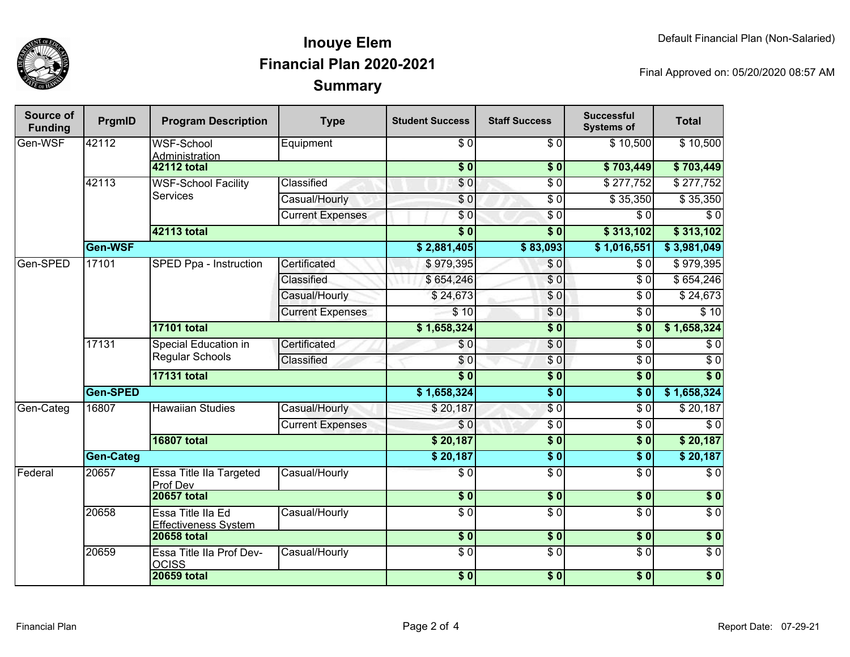

## **SummaryInouye ElemFinancial Plan 2020-2021**

Final Approved on: 05/20/2020 08:57 AM

| Source of<br><b>Funding</b> | PrgmID           | <b>Program Description</b>                       | <b>Type</b>             | <b>Student Success</b> | <b>Staff Success</b> | <b>Successful</b><br><b>Systems of</b> | <b>Total</b>       |
|-----------------------------|------------------|--------------------------------------------------|-------------------------|------------------------|----------------------|----------------------------------------|--------------------|
| Gen-WSF                     | 42112            | <b>WSF-School</b><br>Administration              | Equipment               | $\sqrt{6}$             | $\overline{\$0}$     | \$10,500                               | \$10,500           |
|                             |                  | <b>42112 total</b>                               |                         | $\overline{\$0}$       | $\overline{\$0}$     | \$703,449                              | \$703,449          |
|                             | 42113            | <b>WSF-School Facility</b><br><b>Services</b>    | Classified              | \$0                    | $\sqrt{6}$           | $\sqrt{$277,752}$                      | $\sqrt{$277,752}$  |
|                             |                  |                                                  | Casual/Hourly           | \$0                    | $\overline{\$0}$     | $\overline{$}35,350$                   | \$35,350           |
|                             |                  |                                                  | <b>Current Expenses</b> | $\overline{\$0}$       | $\overline{\$0}$     | $\overline{\$0}$                       | $\overline{\$0}$   |
|                             |                  | 42113 total                                      |                         | $\overline{\$0}$       | $\overline{\$0}$     | \$313,102                              | \$313,102          |
|                             | Gen-WSF          |                                                  |                         | \$2,881,405            | \$83,093             | \$1,016,551                            | \$3,981,049        |
| Gen-SPED                    | 17101            | SPED Ppa - Instruction                           | Certificated            | \$979,395              | $\overline{\$0}$     | $\overline{\$0}$                       | \$979,395          |
|                             |                  |                                                  | Classified              | \$654,246              | $\overline{\$0}$     | $\overline{\$0}$                       | \$654,246          |
|                             |                  |                                                  | Casual/Hourly           | \$24,673               | $\overline{\$0}$     | $\overline{\$0}$                       | \$24,673           |
|                             |                  |                                                  | <b>Current Expenses</b> | \$10                   | \$0                  | $\overline{\$0}$                       | $\overline{\$}$ 10 |
|                             |                  | <b>17101 total</b>                               |                         | \$1,658,324            | $\overline{\$0}$     | $\overline{\$0}$                       | \$1,658,324        |
|                             | 17131            | Special Education in<br><b>Regular Schools</b>   | Certificated            | \$0                    | $\sqrt{6}$           | $\overline{\$0}$                       | $\overline{\$0}$   |
|                             |                  |                                                  | Classified              | \$0                    | $\overline{\$0}$     | $\overline{\$0}$                       | $\overline{\$0}$   |
|                             |                  | <b>17131 total</b>                               |                         | s <sub>0</sub>         | $\sqrt{6}$           | s <sub>0</sub>                         | $\overline{\$0}$   |
|                             | Gen-SPED         |                                                  |                         | \$1,658,324            | $\overline{\$0}$     | s <sub>0</sub>                         | \$1,658,324        |
| Gen-Categ                   | 16807            | <b>Hawaiian Studies</b>                          | Casual/Hourly           | \$20,187               | $\sqrt{6}$           | $\overline{\$0}$                       | \$20,187           |
|                             |                  |                                                  | <b>Current Expenses</b> | $\overline{\$0}$       | $\overline{\$0}$     | $\overline{\$0}$                       | $\overline{\$0}$   |
|                             |                  | <b>16807 total</b>                               |                         | \$20,187               | $\overline{\$0}$     | s <sub>0</sub>                         | \$20,187           |
|                             | <b>Gen-Categ</b> |                                                  |                         | \$20,187               | $\overline{\$0}$     | $\overline{\$0}$                       | \$20,187           |
| Federal                     | 20657            | Essa Title IIa Targeted<br>Prof Dev              | Casual/Hourly           | $\overline{\$0}$       | $\overline{\$0}$     | $\overline{\$0}$                       | $\overline{\$0}$   |
|                             |                  | <b>20657 total</b>                               |                         | $\overline{\$0}$       | $\overline{\$0}$     | $\overline{\$0}$                       | $\overline{\$0}$   |
|                             | 20658            | Essa Title IIa Ed<br><b>Effectiveness System</b> | Casual/Hourly           | $\overline{S}0$        | $\overline{S}0$      | $\overline{S}0$                        | $\sqrt{6}$         |
|                             |                  | <b>20658 total</b>                               |                         | $\overline{\$0}$       | $\overline{\$0}$     | $\overline{\$0}$                       | $\overline{\$0}$   |
|                             | 20659            | Essa Title IIa Prof Dev-<br><b>OCISS</b>         | Casual/Hourly           | $\overline{S}0$        | $\overline{S}0$      | $\overline{S}0$                        | \$0                |
|                             |                  | <b>20659 total</b>                               |                         | \$0                    | \$0                  | \$0                                    | $\sqrt{ }$         |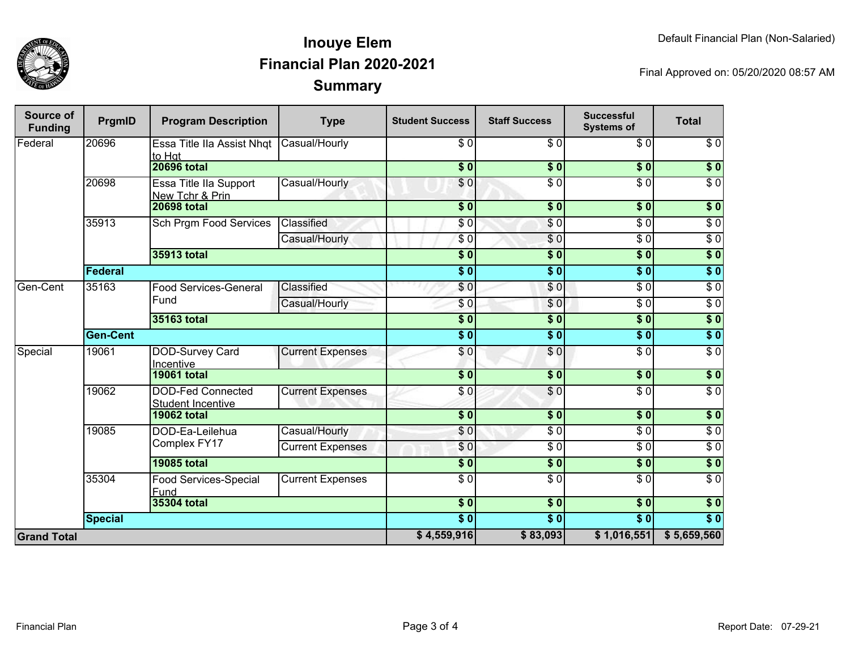

## **SummaryInouye ElemFinancial Plan 2020-2021**

Final Approved on: 05/20/2020 08:57 AM

| Source of<br><b>Funding</b> | PrgmID          | <b>Program Description</b>                           | <b>Type</b>             | <b>Student Success</b> | <b>Staff Success</b> | <b>Successful</b><br><b>Systems of</b> | <b>Total</b>     |
|-----------------------------|-----------------|------------------------------------------------------|-------------------------|------------------------|----------------------|----------------------------------------|------------------|
| Federal                     | 20696           | Essa Title IIa Assist Nhqt<br>to Hat                 | Casual/Hourly           | \$0                    | \$0                  | \$0                                    | \$0              |
|                             |                 | <b>20696 total</b>                                   |                         | $\overline{\$}0$       | \$0                  | $\overline{\$0}$                       | $\overline{\$0}$ |
|                             | 20698           | Essa Title IIa Support<br>New Tchr & Prin            | Casual/Hourly           | \$0                    | $\overline{\$0}$     | $\overline{\$0}$                       | $\overline{\$0}$ |
|                             |                 | <b>20698 total</b>                                   |                         | $\overline{\$0}$       | \$0                  | $\overline{\$0}$                       | $\overline{\$0}$ |
|                             | 35913           | <b>Sch Prgm Food Services</b>                        | Classified              | \$0                    | $\sqrt{6}$           | $\overline{\$0}$                       | $\sqrt{6}$       |
|                             |                 |                                                      | Casual/Hourly           | $\sqrt{6}$             | $\sqrt{6}$           | $\overline{50}$                        | $\sqrt{6}$       |
|                             |                 | <b>35913 total</b>                                   |                         | $\overline{\$0}$       | $\overline{\$0}$     | $\overline{\$0}$                       | \$0              |
|                             | Federal         |                                                      |                         | $\overline{\$0}$       | $\overline{\$0}$     | $\overline{\$0}$                       | \$0              |
| Gen-Cent                    | 35163           | <b>Food Services-General</b>                         | Classified              | \$0                    | \$0                  | $\overline{\$0}$                       | $\overline{60}$  |
|                             |                 | Fund                                                 | Casual/Hourly           | \$0                    | \$0                  | $\overline{\$0}$                       | $\sqrt{6}$       |
|                             |                 | 35163 total                                          |                         | $\overline{\$0}$       | $\overline{\$0}$     | $\overline{\$0}$                       | \$0              |
|                             | <b>Gen-Cent</b> |                                                      |                         | $\overline{\$0}$       | $\overline{\$0}$     | $\overline{\$0}$                       | \$0              |
| Special                     | 19061           | DOD-Survey Card<br>Incentive                         | <b>Current Expenses</b> | \$0                    | $\sqrt{6}$           | $\overline{\$0}$                       | $\sqrt{6}$       |
|                             |                 | <b>19061 total</b>                                   |                         | $\overline{\$0}$       | $\overline{\$0}$     | $\overline{\$0}$                       | $\overline{\$0}$ |
|                             | 19062           | <b>DOD-Fed Connected</b><br><b>Student Incentive</b> | <b>Current Expenses</b> | \$0                    | $\overline{\$0}$     | $\overline{30}$                        | $\overline{S}0$  |
|                             |                 | <b>19062 total</b>                                   |                         | $\overline{\$}0$       | $\overline{\$0}$     | $\overline{\$0}$                       | \$0              |
|                             | 19085           | DOD-Ea-Leilehua                                      | Casual/Hourly           | \$0                    | $\overline{\$0}$     | $\overline{\$0}$                       | $\overline{\$0}$ |
|                             |                 | Complex FY17                                         | <b>Current Expenses</b> | \$0                    | $\overline{\$0}$     | $\overline{\$0}$                       | $\overline{30}$  |
|                             |                 | <b>19085 total</b>                                   |                         | $\overline{\$}0$       | $\overline{\$0}$     | $\overline{\$0}$                       | $\overline{\$0}$ |
|                             | 35304           | Food Services-Special<br>Fund                        | <b>Current Expenses</b> | $\overline{\$0}$       | $\overline{\$0}$     | $\overline{\$0}$                       | $\overline{\$0}$ |
|                             |                 | 35304 total                                          |                         | $\overline{\$0}$       | $\overline{\$0}$     | $\overline{\$0}$                       | $\overline{\$0}$ |
|                             | <b>Special</b>  |                                                      |                         | $\overline{\$0}$       | $\overline{\$0}$     | $\overline{\$0}$                       | $\overline{\$0}$ |
| <b>Grand Total</b>          |                 |                                                      | \$4,559,916             | \$83,093               | \$1,016,551          | \$5,659,560                            |                  |